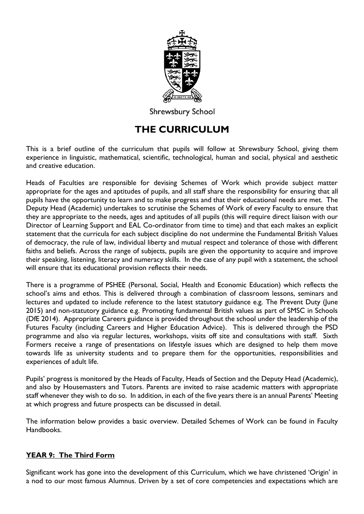

**Shrewsbury School** 

# **THE CURRICULUM**

This is a brief outline of the curriculum that pupils will follow at Shrewsbury School, giving them experience in linguistic, mathematical, scientific, technological, human and social, physical and aesthetic and creative education.

Heads of Faculties are responsible for devising Schemes of Work which provide subject matter appropriate for the ages and aptitudes of pupils, and all staff share the responsibility for ensuring that all pupils have the opportunity to learn and to make progress and that their educational needs are met. The Deputy Head (Academic) undertakes to scrutinise the Schemes of Work of every Faculty to ensure that they are appropriate to the needs, ages and aptitudes of all pupils (this will require direct liaison with our Director of Learning Support and EAL Co-ordinator from time to time) and that each makes an explicit statement that the curricula for each subject discipline do not undermine the Fundamental British Values of democracy, the rule of law, individual liberty and mutual respect and tolerance of those with different faiths and beliefs. Across the range of subjects, pupils are given the opportunity to acquire and improve their speaking, listening, literacy and numeracy skills. In the case of any pupil with a statement, the school will ensure that its educational provision reflects their needs.

There is a programme of PSHEE (Personal, Social, Health and Economic Education) which reflects the school's aims and ethos. This is delivered through a combination of classroom lessons, seminars and lectures and updated to include reference to the latest statutory guidance e.g. The Prevent Duty (June 2015) and non-statutory guidance e.g. Promoting fundamental British values as part of SMSC in Schools (DfE 2014). Appropriate Careers guidance is provided throughout the school under the leadership of the Futures Faculty (including Careers and Higher Education Advice). This is delivered through the PSD programme and also via regular lectures, workshops, visits off site and consultations with staff. Sixth Formers receive a range of presentations on lifestyle issues which are designed to help them move towards life as university students and to prepare them for the opportunities, responsibilities and experiences of adult life.

Pupils' progress is monitored by the Heads of Faculty, Heads of Section and the Deputy Head (Academic), and also by Housemasters and Tutors. Parents are invited to raise academic matters with appropriate staff whenever they wish to do so. In addition, in each of the five years there is an annual Parents' Meeting at which progress and future prospects can be discussed in detail.

The information below provides a basic overview. Detailed Schemes of Work can be found in Faculty Handbooks.

## **YEAR 9: The Third Form**

Significant work has gone into the development of this Curriculum, which we have christened 'Origin' in a nod to our most famous Alumnus. Driven by a set of core competencies and expectations which are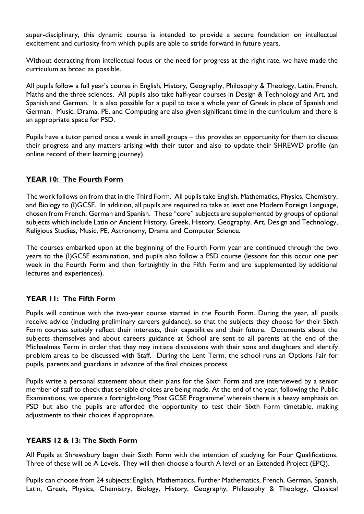super-disciplinary, this dynamic course is intended to provide a secure foundation on intellectual excitement and curiosity from which pupils are able to stride forward in future years.

Without detracting from intellectual focus or the need for progress at the right rate, we have made the curriculum as broad as possible.

All pupils follow a full year's course in English, History, Geography, Philosophy & Theology, Latin, French, Maths and the three sciences. All pupils also take half-year courses in Design & Technology and Art, and Spanish and German. It is also possible for a pupil to take a whole year of Greek in place of Spanish and German. Music, Drama, PE, and Computing are also given significant time in the curriculum and there is an appropriate space for PSD.

Pupils have a tutor period once a week in small groups – this provides an opportunity for them to discuss their progress and any matters arising with their tutor and also to update their SHREWD profile (an online record of their learning journey).

#### **YEAR 10: The Fourth Form**

The work follows on from that in the Third Form. All pupils take English, Mathematics, Physics, Chemistry, and Biology to (I)GCSE. In addition, all pupils are required to take at least one Modern Foreign Language, chosen from French, German and Spanish. These "core" subjects are supplemented by groups of optional subjects which include Latin or Ancient History, Greek, History, Geography, Art, Design and Technology, Religious Studies, Music, PE, Astronomy, Drama and Computer Science.

The courses embarked upon at the beginning of the Fourth Form year are continued through the two years to the (I)GCSE examination, and pupils also follow a PSD course (lessons for this occur one per week in the Fourth Form and then fortnightly in the Fifth Form and are supplemented by additional lectures and experiences).

## **YEAR 11: The Fifth Form**

Pupils will continue with the two-year course started in the Fourth Form. During the year, all pupils receive advice (including preliminary careers guidance), so that the subjects they choose for their Sixth Form courses suitably reflect their interests, their capabilities and their future. Documents about the subjects themselves and about careers guidance at School are sent to all parents at the end of the Michaelmas Term in order that they may initiate discussions with their sons and daughters and identify problem areas to be discussed with Staff. During the Lent Term, the school runs an Options Fair for pupils, parents and guardians in advance of the final choices process.

Pupils write a personal statement about their plans for the Sixth Form and are interviewed by a senior member of staff to check that sensible choices are being made. At the end of the year, following the Public Examinations, we operate a fortnight-long 'Post GCSE Programme' wherein there is a heavy emphasis on PSD but also the pupils are afforded the opportunity to test their Sixth Form timetable, making adjustments to their choices if appropriate.

## **YEARS 12 & 13: The Sixth Form**

All Pupils at Shrewsbury begin their Sixth Form with the intention of studying for Four Qualifications. Three of these will be A Levels. They will then choose a fourth A level or an Extended Project (EPQ).

Pupils can choose from 24 subjects: English, Mathematics, Further Mathematics, French, German, Spanish, Latin, Greek, Physics, Chemistry, Biology, History, Geography, Philosophy & Theology, Classical